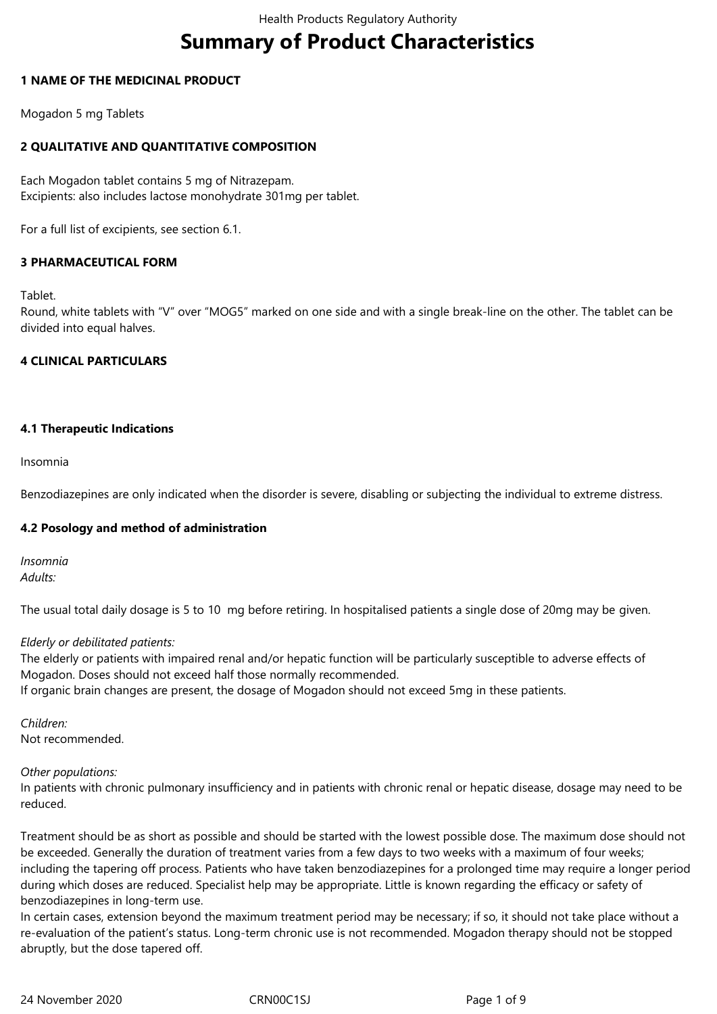# **Summary of Product Characteristics**

## **1 NAME OF THE MEDICINAL PRODUCT**

Mogadon 5 mg Tablets

## **2 QUALITATIVE AND QUANTITATIVE COMPOSITION**

Each Mogadon tablet contains 5 mg of Nitrazepam. Excipients: also includes lactose monohydrate 301mg per tablet.

For a full list of excipients, see section 6.1.

## **3 PHARMACEUTICAL FORM**

Tablet.

Round, white tablets with "V" over "MOG5" marked on one side and with a single break-line on the other. The tablet can be divided into equal halves.

## **4 CLINICAL PARTICULARS**

## **4.1 Therapeutic Indications**

Insomnia

Benzodiazepines are only indicated when the disorder is severe, disabling or subjecting the individual to extreme distress.

## **4.2 Posology and method of administration**

*Insomnia Adults:*

The usual total daily dosage is 5 to 10 mg before retiring. In hospitalised patients a single dose of 20mg may be given.

#### *Elderly or debilitated patients:*

The elderly or patients with impaired renal and/or hepatic function will be particularly susceptible to adverse effects of Mogadon. Doses should not exceed half those normally recommended.

If organic brain changes are present, the dosage of Mogadon should not exceed 5mg in these patients.

*Children:* Not recommended.

#### *Other populations:*

In patients with chronic pulmonary insufficiency and in patients with chronic renal or hepatic disease, dosage may need to be reduced.

Treatment should be as short as possible and should be started with the lowest possible dose. The maximum dose should not be exceeded. Generally the duration of treatment varies from a few days to two weeks with a maximum of four weeks; including the tapering off process. Patients who have taken benzodiazepines for a prolonged time may require a longer period during which doses are reduced. Specialist help may be appropriate. Little is known regarding the efficacy or safety of benzodiazepines in long-term use.

In certain cases, extension beyond the maximum treatment period may be necessary; if so, it should not take place without a re-evaluation of the patient's status. Long-term chronic use is not recommended. Mogadon therapy should not be stopped abruptly, but the dose tapered off.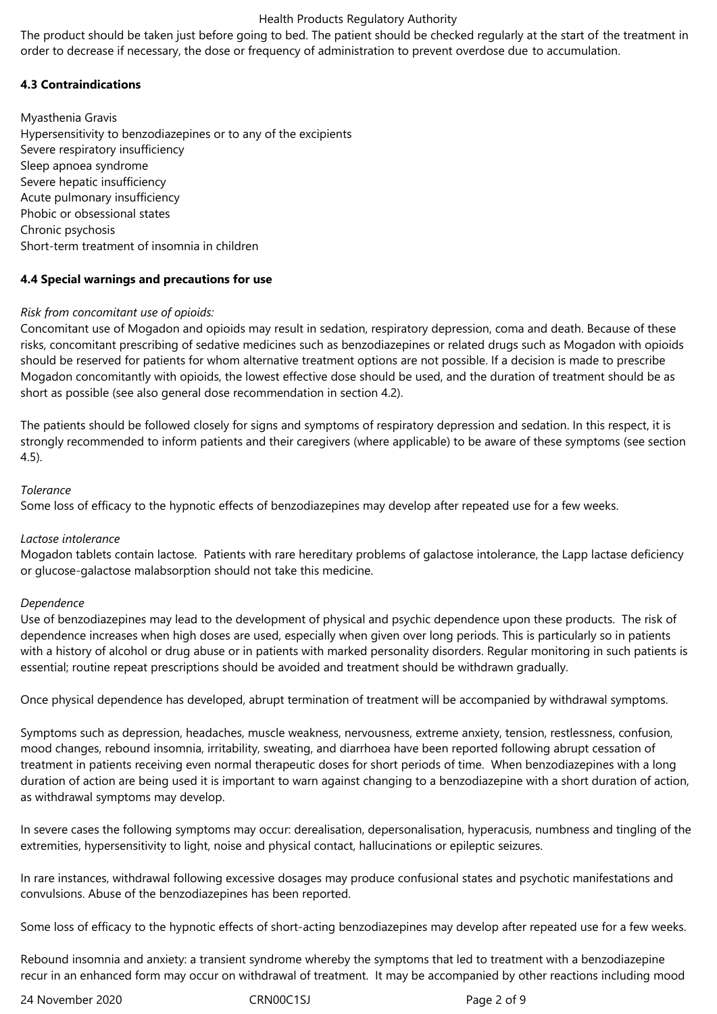The product should be taken just before going to bed. The patient should be checked regularly at the start of the treatment in order to decrease if necessary, the dose or frequency of administration to prevent overdose due to accumulation.

## **4.3 Contraindications**

Myasthenia Gravis Hypersensitivity to benzodiazepines or to any of the excipients Severe respiratory insufficiency Sleep apnoea syndrome Severe hepatic insufficiency Acute pulmonary insufficiency Phobic or obsessional states Chronic psychosis Short-term treatment of insomnia in children

## **4.4 Special warnings and precautions for use**

## *Risk from concomitant use of opioids:*

Concomitant use of Mogadon and opioids may result in sedation, respiratory depression, coma and death. Because of these risks, concomitant prescribing of sedative medicines such as benzodiazepines or related drugs such as Mogadon with opioids should be reserved for patients for whom alternative treatment options are not possible. If a decision is made to prescribe Mogadon concomitantly with opioids, the lowest effective dose should be used, and the duration of treatment should be as short as possible (see also general dose recommendation in section 4.2).

The patients should be followed closely for signs and symptoms of respiratory depression and sedation. In this respect, it is strongly recommended to inform patients and their caregivers (where applicable) to be aware of these symptoms (see section 4.5).

## *Tolerance*

Some loss of efficacy to the hypnotic effects of benzodiazepines may develop after repeated use for a few weeks.

#### *Lactose intolerance*

Mogadon tablets contain lactose. Patients with rare hereditary problems of galactose intolerance, the Lapp lactase deficiency or glucose-galactose malabsorption should not take this medicine.

#### *Dependence*

Use of benzodiazepines may lead to the development of physical and psychic dependence upon these products. The risk of dependence increases when high doses are used, especially when given over long periods. This is particularly so in patients with a history of alcohol or drug abuse or in patients with marked personality disorders. Regular monitoring in such patients is essential; routine repeat prescriptions should be avoided and treatment should be withdrawn gradually.

Once physical dependence has developed, abrupt termination of treatment will be accompanied by withdrawal symptoms.

Symptoms such as depression, headaches, muscle weakness, nervousness, extreme anxiety, tension, restlessness, confusion, mood changes, rebound insomnia, irritability, sweating, and diarrhoea have been reported following abrupt cessation of treatment in patients receiving even normal therapeutic doses for short periods of time. When benzodiazepines with a long duration of action are being used it is important to warn against changing to a benzodiazepine with a short duration of action, as withdrawal symptoms may develop.

In severe cases the following symptoms may occur: derealisation, depersonalisation, hyperacusis, numbness and tingling of the extremities, hypersensitivity to light, noise and physical contact, hallucinations or epileptic seizures.

In rare instances, withdrawal following excessive dosages may produce confusional states and psychotic manifestations and convulsions. Abuse of the benzodiazepines has been reported.

Some loss of efficacy to the hypnotic effects of short-acting benzodiazepines may develop after repeated use for a few weeks.

Rebound insomnia and anxiety: a transient syndrome whereby the symptoms that led to treatment with a benzodiazepine recur in an enhanced form may occur on withdrawal of treatment. It may be accompanied by other reactions including mood

24 November 2020 CRN00C1SJ Page 2 of 9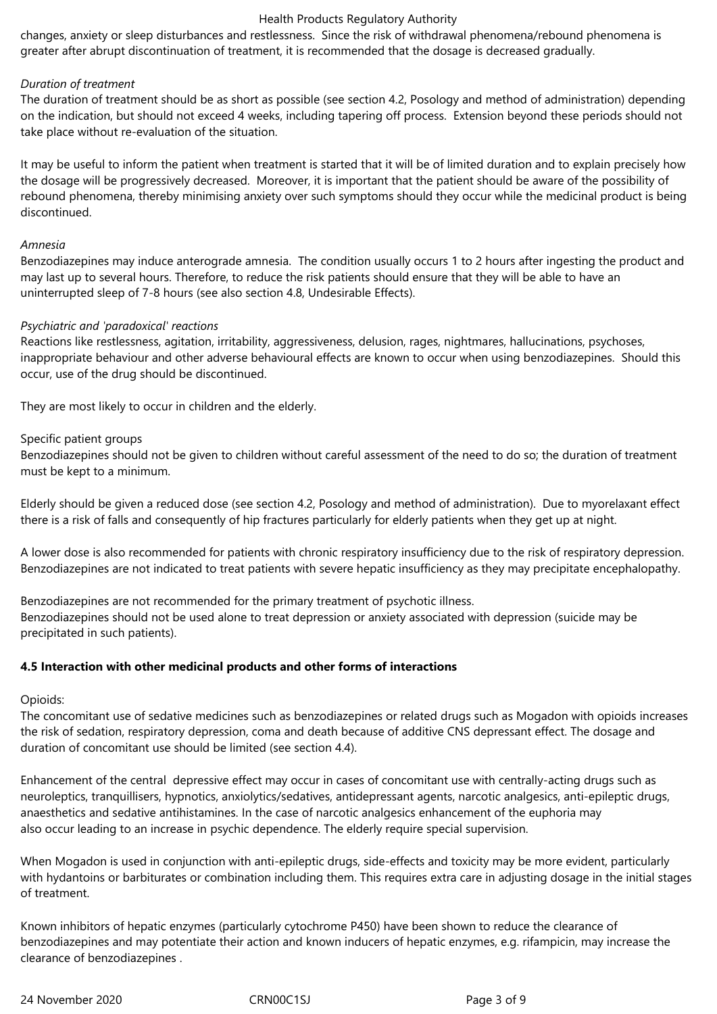changes, anxiety or sleep disturbances and restlessness. Since the risk of withdrawal phenomena/rebound phenomena is greater after abrupt discontinuation of treatment, it is recommended that the dosage is decreased gradually.

#### *Duration of treatment*

The duration of treatment should be as short as possible (see section 4.2, Posology and method of administration) depending on the indication, but should not exceed 4 weeks, including tapering off process. Extension beyond these periods should not take place without re-evaluation of the situation.

It may be useful to inform the patient when treatment is started that it will be of limited duration and to explain precisely how the dosage will be progressively decreased. Moreover, it is important that the patient should be aware of the possibility of rebound phenomena, thereby minimising anxiety over such symptoms should they occur while the medicinal product is being discontinued.

#### *Amnesia*

Benzodiazepines may induce anterograde amnesia. The condition usually occurs 1 to 2 hours after ingesting the product and may last up to several hours. Therefore, to reduce the risk patients should ensure that they will be able to have an uninterrupted sleep of 7-8 hours (see also section 4.8, Undesirable Effects).

#### *Psychiatric and 'paradoxical' reactions*

Reactions like restlessness, agitation, irritability, aggressiveness, delusion, rages, nightmares, hallucinations, psychoses, inappropriate behaviour and other adverse behavioural effects are known to occur when using benzodiazepines. Should this occur, use of the drug should be discontinued.

They are most likely to occur in children and the elderly.

## Specific patient groups

Benzodiazepines should not be given to children without careful assessment of the need to do so; the duration of treatment must be kept to a minimum.

Elderly should be given a reduced dose (see section 4.2, Posology and method of administration). Due to myorelaxant effect there is a risk of falls and consequently of hip fractures particularly for elderly patients when they get up at night.

A lower dose is also recommended for patients with chronic respiratory insufficiency due to the risk of respiratory depression. Benzodiazepines are not indicated to treat patients with severe hepatic insufficiency as they may precipitate encephalopathy.

Benzodiazepines are not recommended for the primary treatment of psychotic illness. Benzodiazepines should not be used alone to treat depression or anxiety associated with depression (suicide may be precipitated in such patients).

#### **4.5 Interaction with other medicinal products and other forms of interactions**

Opioids:

The concomitant use of sedative medicines such as benzodiazepines or related drugs such as Mogadon with opioids increases the risk of sedation, respiratory depression, coma and death because of additive CNS depressant effect. The dosage and duration of concomitant use should be limited (see section 4.4).

Enhancement of the central depressive effect may occur in cases of concomitant use with centrally-acting drugs such as neuroleptics, tranquillisers, hypnotics, anxiolytics/sedatives, antidepressant agents, narcotic analgesics, anti-epileptic drugs, anaesthetics and sedative antihistamines. In the case of narcotic analgesics enhancement of the euphoria may also occur leading to an increase in psychic dependence. The elderly require special supervision.

When Mogadon is used in conjunction with anti-epileptic drugs, side-effects and toxicity may be more evident, particularly with hydantoins or barbiturates or combination including them. This requires extra care in adjusting dosage in the initial stages of treatment.

Known inhibitors of hepatic enzymes (particularly cytochrome P450) have been shown to reduce the clearance of benzodiazepines and may potentiate their action and known inducers of hepatic enzymes, e.g. rifampicin, may increase the clearance of benzodiazepines .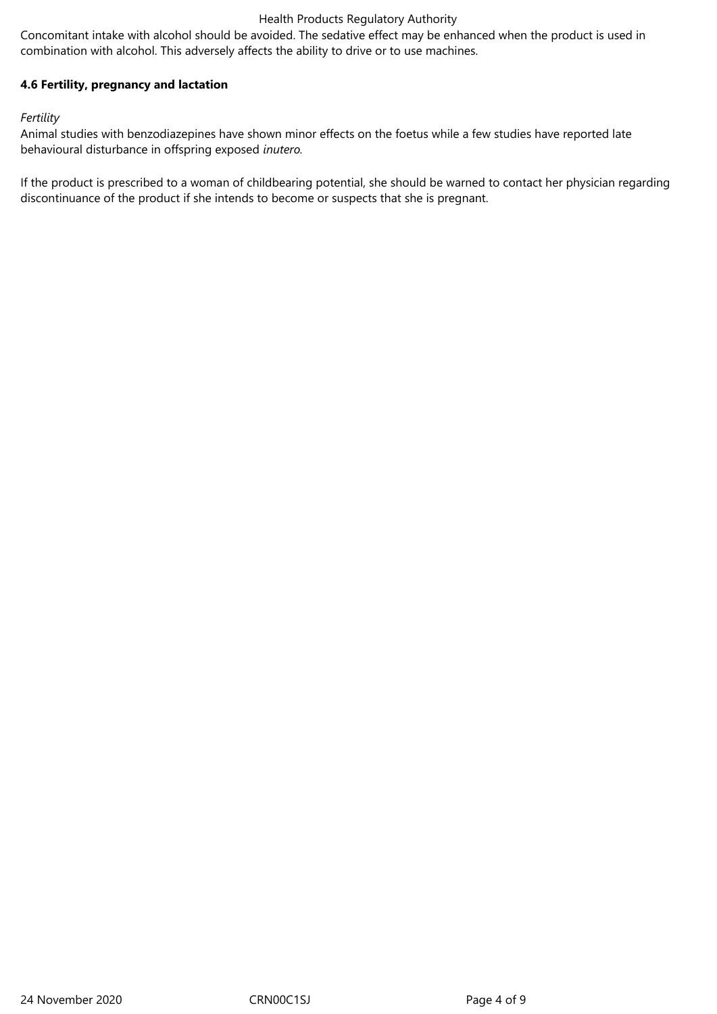Concomitant intake with alcohol should be avoided. The sedative effect may be enhanced when the product is used in combination with alcohol. This adversely affects the ability to drive or to use machines.

## **4.6 Fertility, pregnancy and lactation**

#### *Fertility*

Animal studies with benzodiazepines have shown minor effects on the foetus while a few studies have reported late behavioural disturbance in offspring exposed *inutero.*

If the product is prescribed to a woman of childbearing potential, she should be warned to contact her physician regarding discontinuance of the product if she intends to become or suspects that she is pregnant.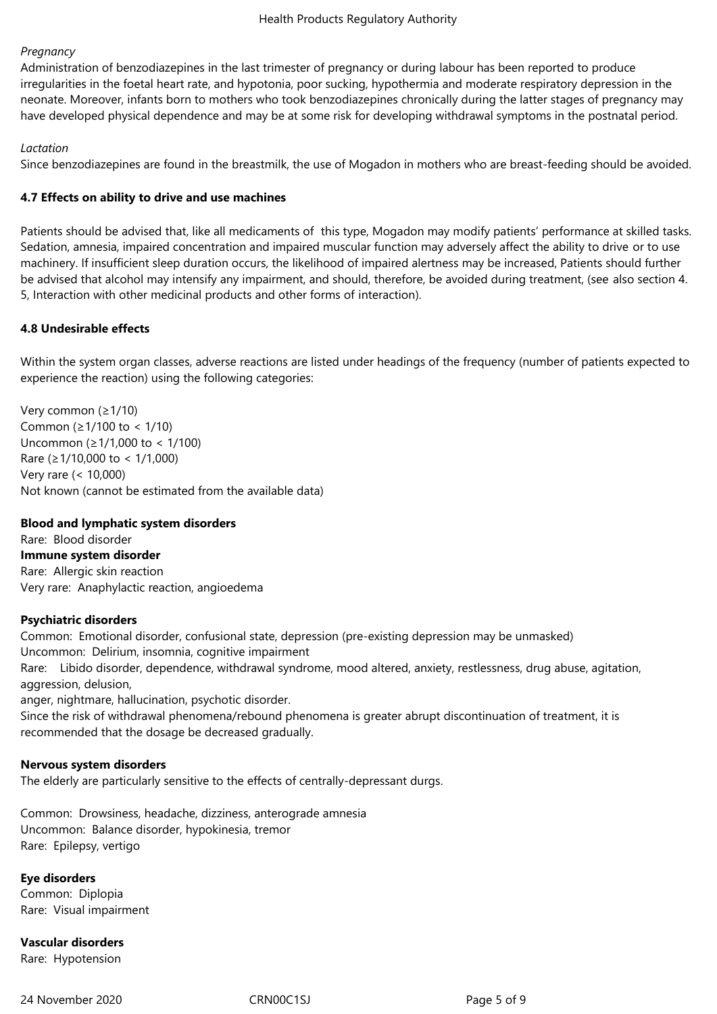#### *Pregnancy*

Administration of benzodiazepines in the last trimester of pregnancy or during labour has been reported to produce irregularities in the foetal heart rate, and hypotonia, poor sucking, hypothermia and moderate respiratory depression in the neonate. Moreover, infants born to mothers who took benzodiazepines chronically during the latter stages of pregnancy may have developed physical dependence and may be at some risk for developing withdrawal symptoms in the postnatal period.

## *Lactation*

Since benzodiazepines are found in the breastmilk, the use of Mogadon in mothers who are breast-feeding should be avoided.

## **4.7 Effects on ability to drive and use machines**

Patients should be advised that, like all medicaments of this type, Mogadon may modify patients' performance at skilled tasks. Sedation, amnesia, impaired concentration and impaired muscular function may adversely affect the ability to drive or to use machinery. If insufficient sleep duration occurs, the likelihood of impaired alertness may be increased, Patients should further be advised that alcohol may intensify any impairment, and should, therefore, be avoided during treatment, (see also section 4. 5, Interaction with other medicinal products and other forms of interaction).

## **4.8 Undesirable effects**

Within the system organ classes, adverse reactions are listed under headings of the frequency (number of patients expected to experience the reaction) using the following categories:

Very common (≥1/10) Common (≥1/100 to < 1/10) Uncommon (≥1/1,000 to < 1/100) Rare (≥1/10,000 to < 1/1,000) Very rare (< 10,000) Not known (cannot be estimated from the available data)

#### **Blood and lymphatic system disorders**

Rare: Blood disorder **Immune system disorder** Rare: Allergic skin reaction Very rare: Anaphylactic reaction, angioedema

#### **Psychiatric disorders**

Common: Emotional disorder, confusional state, depression (pre-existing depression may be unmasked) Uncommon: Delirium, insomnia, cognitive impairment Rare: Libido disorder, dependence, withdrawal syndrome, mood altered, anxiety, restlessness, drug abuse, agitation, aggression, delusion,

anger, nightmare, hallucination, psychotic disorder.

Since the risk of withdrawal phenomena/rebound phenomena is greater abrupt discontinuation of treatment, it is recommended that the dosage be decreased gradually.

#### **Nervous system disorders**

The elderly are particularly sensitive to the effects of centrally-depressant durgs.

Common: Drowsiness, headache, dizziness, anterograde amnesia Uncommon: Balance disorder, hypokinesia, tremor Rare: Epilepsy, vertigo

## **Eye disorders**

Common: Diplopia Rare: Visual impairment

**Vascular disorders** Rare: Hypotension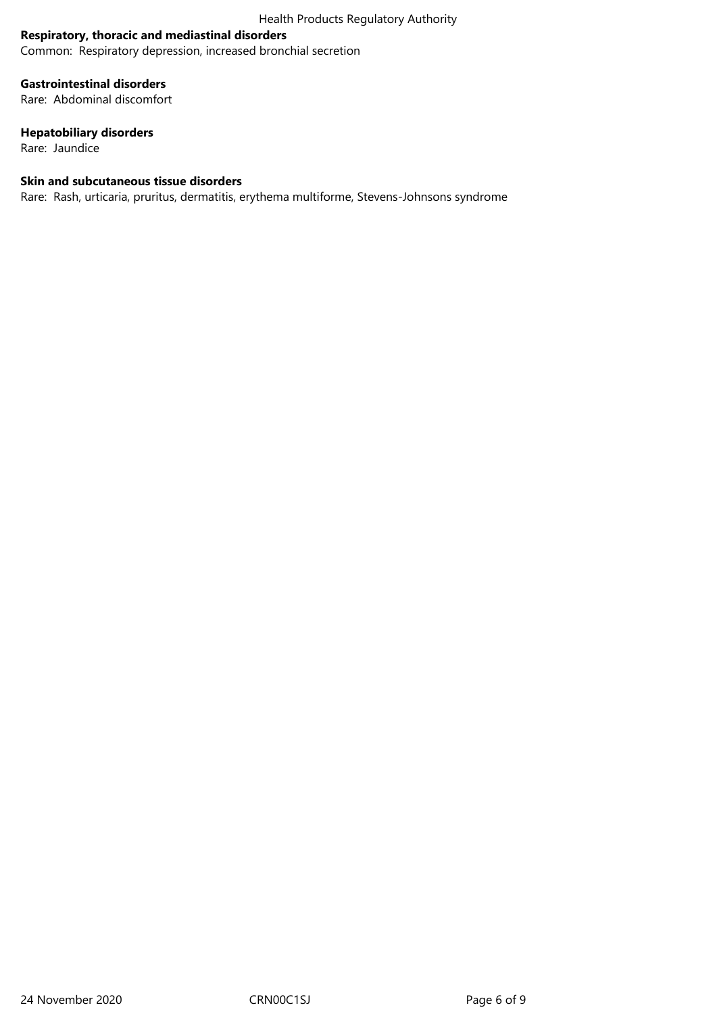## **Respiratory, thoracic and mediastinal disorders**

Common: Respiratory depression, increased bronchial secretion

## **Gastrointestinal disorders**

Rare: Abdominal discomfort

## **Hepatobiliary disorders**

Rare: Jaundice

#### **Skin and subcutaneous tissue disorders**

Rare: Rash, urticaria, pruritus, dermatitis, erythema multiforme, Stevens-Johnsons syndrome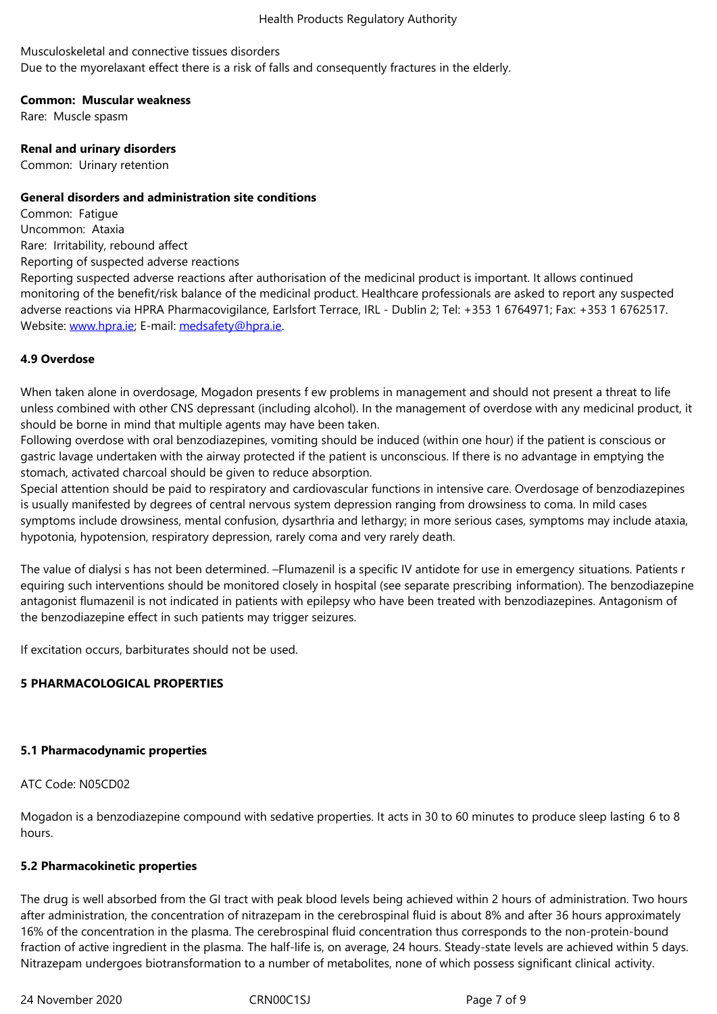Due to the myorelaxant effect there is a risk of falls and consequently fractures in the elderly.

#### **Common: Muscular weakness**

Rare: Muscle spasm

#### **Renal and urinary disorders**

Common: Urinary retention

#### **General disorders and administration site conditions**

Common: Fatigue Uncommon: Ataxia Rare: Irritability, rebound affect Reporting of suspected adverse reactions

Reporting suspected adverse reactions after authorisation of the medicinal product is important. It allows continued monitoring of the benefit/risk balance of the medicinal product. Healthcare professionals are asked to report any suspected adverse reactions via HPRA Pharmacovigilance, Earlsfort Terrace, IRL - Dublin 2; Tel: +353 1 6764971; Fax: +353 1 6762517. Website: www.hpra.ie; E-mail: medsafety@hpra.ie.

## **4.9 Overdose**

When ta[ken alone in o](http://www.hpra.ie/)verdos[age, Mogadon prese](mailto:medsafety@hpra.ie)nts f ew problems in management and should not present a threat to life unless combined with other CNS depressant (including alcohol). In the management of overdose with any medicinal product, it should be borne in mind that multiple agents may have been taken.

Following overdose with oral benzodiazepines, vomiting should be induced (within one hour) if the patient is conscious or gastric lavage undertaken with the airway protected if the patient is unconscious. If there is no advantage in emptying the stomach, activated charcoal should be given to reduce absorption.

Special attention should be paid to respiratory and cardiovascular functions in intensive care. Overdosage of benzodiazepines is usually manifested by degrees of central nervous system depression ranging from drowsiness to coma. In mild cases symptoms include drowsiness, mental confusion, dysarthria and lethargy; in more serious cases, symptoms may include ataxia, hypotonia, hypotension, respiratory depression, rarely coma and very rarely death.

The value of dialysi s has not been determined. –Flumazenil is a specific IV antidote for use in emergency situations. Patients r equiring such interventions should be monitored closely in hospital (see separate prescribing information). The benzodiazepine antagonist flumazenil is not indicated in patients with epilepsy who have been treated with benzodiazepines. Antagonism of the benzodiazepine effect in such patients may trigger seizures.

If excitation occurs, barbiturates should not be used.

#### **5 PHARMACOLOGICAL PROPERTIES**

#### **5.1 Pharmacodynamic properties**

#### ATC Code: N05CD02

Mogadon is a benzodiazepine compound with sedative properties. It acts in 30 to 60 minutes to produce sleep lasting 6 to 8 hours.

#### **5.2 Pharmacokinetic properties**

The drug is well absorbed from the GI tract with peak blood levels being achieved within 2 hours of administration. Two hours after administration, the concentration of nitrazepam in the cerebrospinal fluid is about 8% and after 36 hours approximately 16% of the concentration in the plasma. The cerebrospinal fluid concentration thus corresponds to the non-protein-bound fraction of active ingredient in the plasma. The half-life is, on average, 24 hours. Steady-state levels are achieved within 5 days. Nitrazepam undergoes biotransformation to a number of metabolites, none of which possess significant clinical activity.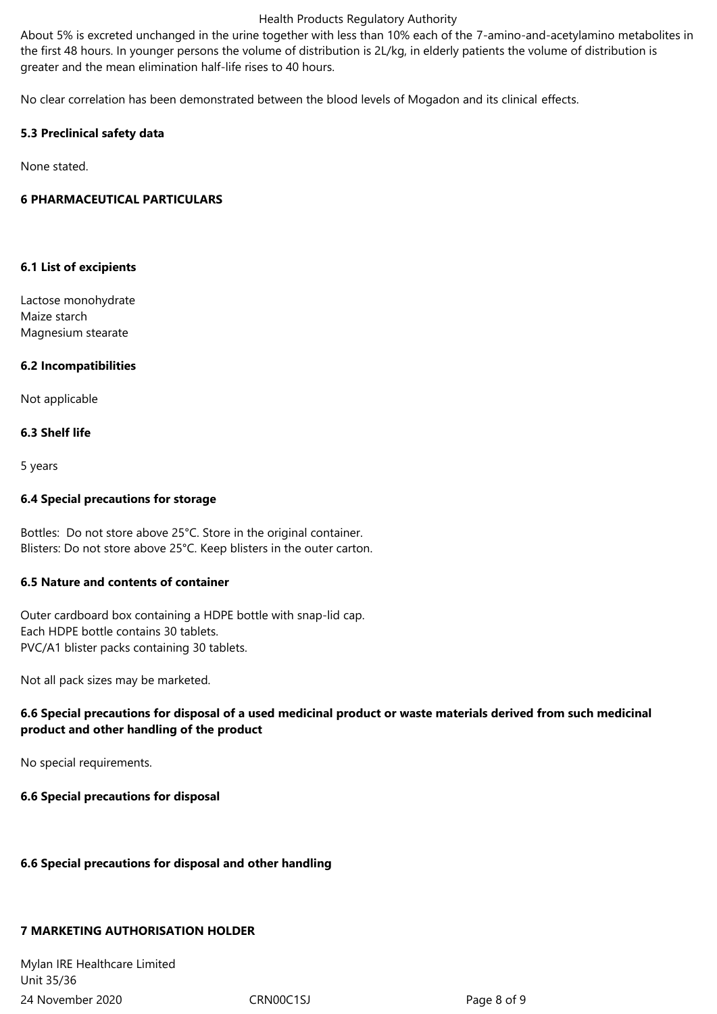About 5% is excreted unchanged in the urine together with less than 10% each of the 7-amino-and-acetylamino metabolites in the first 48 hours. In younger persons the volume of distribution is 2L/kg, in elderly patients the volume of distribution is greater and the mean elimination half-life rises to 40 hours.

No clear correlation has been demonstrated between the blood levels of Mogadon and its clinical effects.

## **5.3 Preclinical safety data**

None stated.

## **6 PHARMACEUTICAL PARTICULARS**

#### **6.1 List of excipients**

Lactose monohydrate Maize starch Magnesium stearate

## **6.2 Incompatibilities**

Not applicable

## **6.3 Shelf life**

5 years

## **6.4 Special precautions for storage**

Bottles: Do not store above 25°C. Store in the original container. Blisters: Do not store above 25°C. Keep blisters in the outer carton.

## **6.5 Nature and contents of container**

Outer cardboard box containing a HDPE bottle with snap-lid cap. Each HDPE bottle contains 30 tablets. PVC/A1 blister packs containing 30 tablets.

Not all pack sizes may be marketed.

## **6.6 Special precautions for disposal of a used medicinal product or waste materials derived from such medicinal product and other handling of the product**

No special requirements.

**6.6 Special precautions for disposal**

#### **6.6 Special precautions for disposal and other handling**

## **7 MARKETING AUTHORISATION HOLDER**

24 November 2020 CRN00C1SJ Page 8 of 9 Mylan IRE Healthcare Limited Unit 35/36